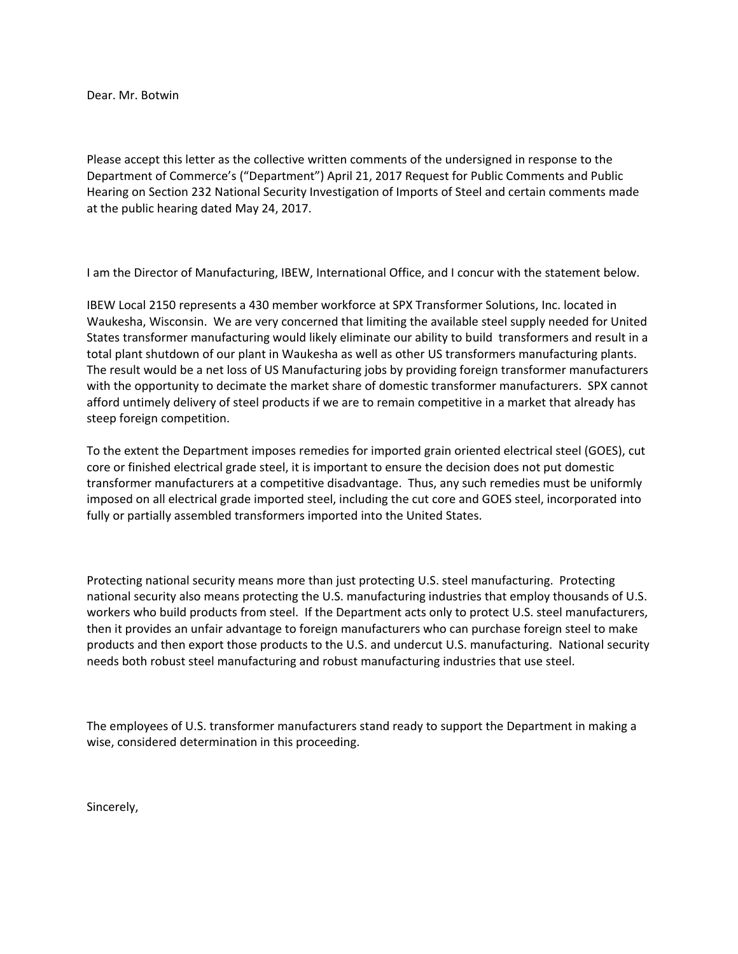Dear. Mr. Botwin

Please accept this letter as the collective written comments of the undersigned in response to the Department of Commerce's ("Department") April 21, 2017 Request for Public Comments and Public Hearing on Section 232 National Security Investigation of Imports of Steel and certain comments made at the public hearing dated May 24, 2017.

I am the Director of Manufacturing, IBEW, International Office, and I concur with the statement below.

IBEW Local 2150 represents a 430 member workforce at SPX Transformer Solutions, Inc. located in Waukesha, Wisconsin. We are very concerned that limiting the available steel supply needed for United States transformer manufacturing would likely eliminate our ability to build transformers and result in a total plant shutdown of our plant in Waukesha as well as other US transformers manufacturing plants. The result would be a net loss of US Manufacturing jobs by providing foreign transformer manufacturers with the opportunity to decimate the market share of domestic transformer manufacturers. SPX cannot afford untimely delivery of steel products if we are to remain competitive in a market that already has steep foreign competition.

To the extent the Department imposes remedies for imported grain oriented electrical steel (GOES), cut core or finished electrical grade steel, it is important to ensure the decision does not put domestic transformer manufacturers at a competitive disadvantage. Thus, any such remedies must be uniformly imposed on all electrical grade imported steel, including the cut core and GOES steel, incorporated into fully or partially assembled transformers imported into the United States.

Protecting national security means more than just protecting U.S. steel manufacturing. Protecting national security also means protecting the U.S. manufacturing industries that employ thousands of U.S. workers who build products from steel. If the Department acts only to protect U.S. steel manufacturers, then it provides an unfair advantage to foreign manufacturers who can purchase foreign steel to make products and then export those products to the U.S. and undercut U.S. manufacturing. National security needs both robust steel manufacturing and robust manufacturing industries that use steel.

The employees of U.S. transformer manufacturers stand ready to support the Department in making a wise, considered determination in this proceeding.

Sincerely,